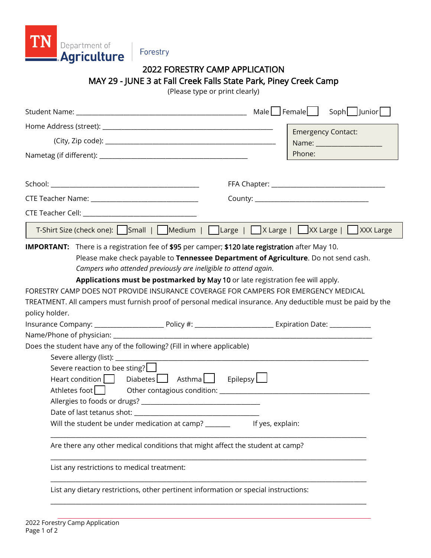

## Forestry

# 2022 FORESTRY CAMP APPLICATION MAY 29 - JUNE 3 at Fall Creek Falls State Park, Piney Creek Camp

(Please type or print clearly)

|                                                                                                                                                                                                                                                                   | Male $\Box$ Female $\Box$<br>Soph Junior                                                                                                                                                                                                                                             |
|-------------------------------------------------------------------------------------------------------------------------------------------------------------------------------------------------------------------------------------------------------------------|--------------------------------------------------------------------------------------------------------------------------------------------------------------------------------------------------------------------------------------------------------------------------------------|
|                                                                                                                                                                                                                                                                   | <b>Emergency Contact:</b>                                                                                                                                                                                                                                                            |
|                                                                                                                                                                                                                                                                   | Name: ___________________                                                                                                                                                                                                                                                            |
|                                                                                                                                                                                                                                                                   | Phone:                                                                                                                                                                                                                                                                               |
|                                                                                                                                                                                                                                                                   |                                                                                                                                                                                                                                                                                      |
|                                                                                                                                                                                                                                                                   |                                                                                                                                                                                                                                                                                      |
|                                                                                                                                                                                                                                                                   |                                                                                                                                                                                                                                                                                      |
|                                                                                                                                                                                                                                                                   |                                                                                                                                                                                                                                                                                      |
|                                                                                                                                                                                                                                                                   |                                                                                                                                                                                                                                                                                      |
| <b>IMPORTANT:</b> There is a registration fee of \$95 per camper; \$120 late registration after May 10.<br>Campers who attended previously are ineligible to attend again.<br>FORESTRY CAMP DOES NOT PROVIDE INSURANCE COVERAGE FOR CAMPERS FOR EMERGENCY MEDICAL | Please make check payable to Tennessee Department of Agriculture. Do not send cash.<br>Applications must be postmarked by May 10 or late registration fee will apply.<br>TREATMENT. All campers must furnish proof of personal medical insurance. Any deductible must be paid by the |
| policy holder.                                                                                                                                                                                                                                                    |                                                                                                                                                                                                                                                                                      |
|                                                                                                                                                                                                                                                                   |                                                                                                                                                                                                                                                                                      |
| Does the student have any of the following? (Fill in where applicable)                                                                                                                                                                                            |                                                                                                                                                                                                                                                                                      |
| Severe allergy (list): ___________                                                                                                                                                                                                                                |                                                                                                                                                                                                                                                                                      |
| Severe reaction to bee sting? $\Box$                                                                                                                                                                                                                              |                                                                                                                                                                                                                                                                                      |
| $\text{Heart condition}$   Diabetes $\Box$ Asthma $\Box$ Epilepsy $\Box$                                                                                                                                                                                          |                                                                                                                                                                                                                                                                                      |
|                                                                                                                                                                                                                                                                   |                                                                                                                                                                                                                                                                                      |
|                                                                                                                                                                                                                                                                   |                                                                                                                                                                                                                                                                                      |
|                                                                                                                                                                                                                                                                   |                                                                                                                                                                                                                                                                                      |
| Will the student be under medication at camp? _________ If yes, explain:                                                                                                                                                                                          |                                                                                                                                                                                                                                                                                      |
| Are there any other medical conditions that might affect the student at camp?                                                                                                                                                                                     |                                                                                                                                                                                                                                                                                      |
| List any restrictions to medical treatment:                                                                                                                                                                                                                       |                                                                                                                                                                                                                                                                                      |
| List any dietary restrictions, other pertinent information or special instructions:                                                                                                                                                                               |                                                                                                                                                                                                                                                                                      |